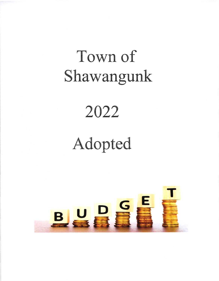# Town of Shawangunk

### 2022

## Adopted

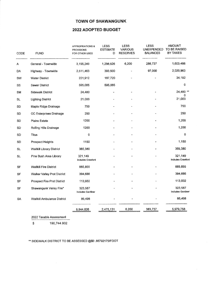#### TOWN OF SHAWANGUNK

#### 2022 ADOPTED BUDGET

| CODE      | <b>FUND</b><br>--------------------- | <b>APPROPRIATIONS &amp;</b><br><b>PROVISIONS</b><br><b>FOR OTHER USES</b> | <b>LESS</b><br><b>ESTIMATE</b><br>D | <b>LESS</b><br><b>VARIOUS</b><br><b>RESERVES</b> | <b>LESS</b><br><b>UNEXPENDED</b><br><b>BALANCES</b> | <b>AMOUNT</b><br>TO BE RAISED<br>BY TAXES<br>--------------- |
|-----------|--------------------------------------|---------------------------------------------------------------------------|-------------------------------------|--------------------------------------------------|-----------------------------------------------------|--------------------------------------------------------------|
| Α         | General - Townwide                   | 3,195,249                                                                 | 1,298,826                           | 6,200                                            | 286,737                                             | 1,603,486                                                    |
| DA        | Highway - Townwide                   | 2,511,463                                                                 | 393,500                             |                                                  | 97,000                                              | 2,020,963                                                    |
| SW        | <b>Water District</b>                | 221,912                                                                   | 187,720                             |                                                  |                                                     | 34,192                                                       |
| SS        | <b>Sewer District</b>                | 595,085                                                                   | 595,085                             |                                                  |                                                     | 0                                                            |
| <b>SM</b> | <b>Sidewalk District</b>             | 24,480                                                                    |                                     |                                                  |                                                     | 24,480 **<br>0                                               |
| <b>SL</b> | <b>Lighting District</b>             | 21,000                                                                    |                                     |                                                  |                                                     | 21,000                                                       |
| <b>SD</b> | Maple Ridge Drainage                 | 750                                                                       |                                     |                                                  |                                                     | 750                                                          |
| <b>SD</b> | OC Enterprises Drainage              | 250                                                                       |                                     |                                                  |                                                     | 250                                                          |
| SD        | Plains Estate                        | 1200                                                                      |                                     |                                                  |                                                     | 1,200                                                        |
| SD        | Rolling Hills Drainage               | 1200                                                                      |                                     |                                                  |                                                     | 1,200                                                        |
| SD        | Titus                                | $\circ$                                                                   |                                     |                                                  |                                                     | $\bf{0}$                                                     |
| <b>SD</b> | <b>Prospect Heights</b>              | 1150                                                                      |                                     |                                                  |                                                     | 1,150                                                        |
| SL.       | <b>Wallkill Library District</b>     | 365,380                                                                   |                                     |                                                  |                                                     | 365,380                                                      |
| <b>SL</b> | Pine Bush Area Library               | 321,149<br><b>Includes Crawford</b>                                       |                                     |                                                  |                                                     | 321,149<br>Includes Crawford                                 |
| SF        | <b>Wallkill Fire District</b>        | 665,855                                                                   |                                     |                                                  |                                                     | 665,855                                                      |
| SF        | Walker Valley Prot District          | 394,686                                                                   |                                     |                                                  |                                                     | 394,686                                                      |
| SF        | Prospect Fire Prot District          | 113,932                                                                   |                                     |                                                  |                                                     | 113,932                                                      |
| SF        | Shawangunk Valley Fire*              | 323,587<br>Includes Gardiner                                              |                                     |                                                  |                                                     | 323,587<br>Includes Gardiner                                 |
| SA        | <b>Wallkill Ambulance District</b>   | 86,498                                                                    |                                     |                                                  |                                                     | 86,498                                                       |
|           |                                      | 8,844,826                                                                 | 2,475,131                           | 6,200                                            | 383,737                                             | 5,979,758                                                    |

2022 Taxable Assessment

 $$190,744.932$ 

 $\bar{\mathbf{v}}$ 

\*\* SIDEWALK DISTRICT TO BE ASSESSED @\$0.66792175/FOOT